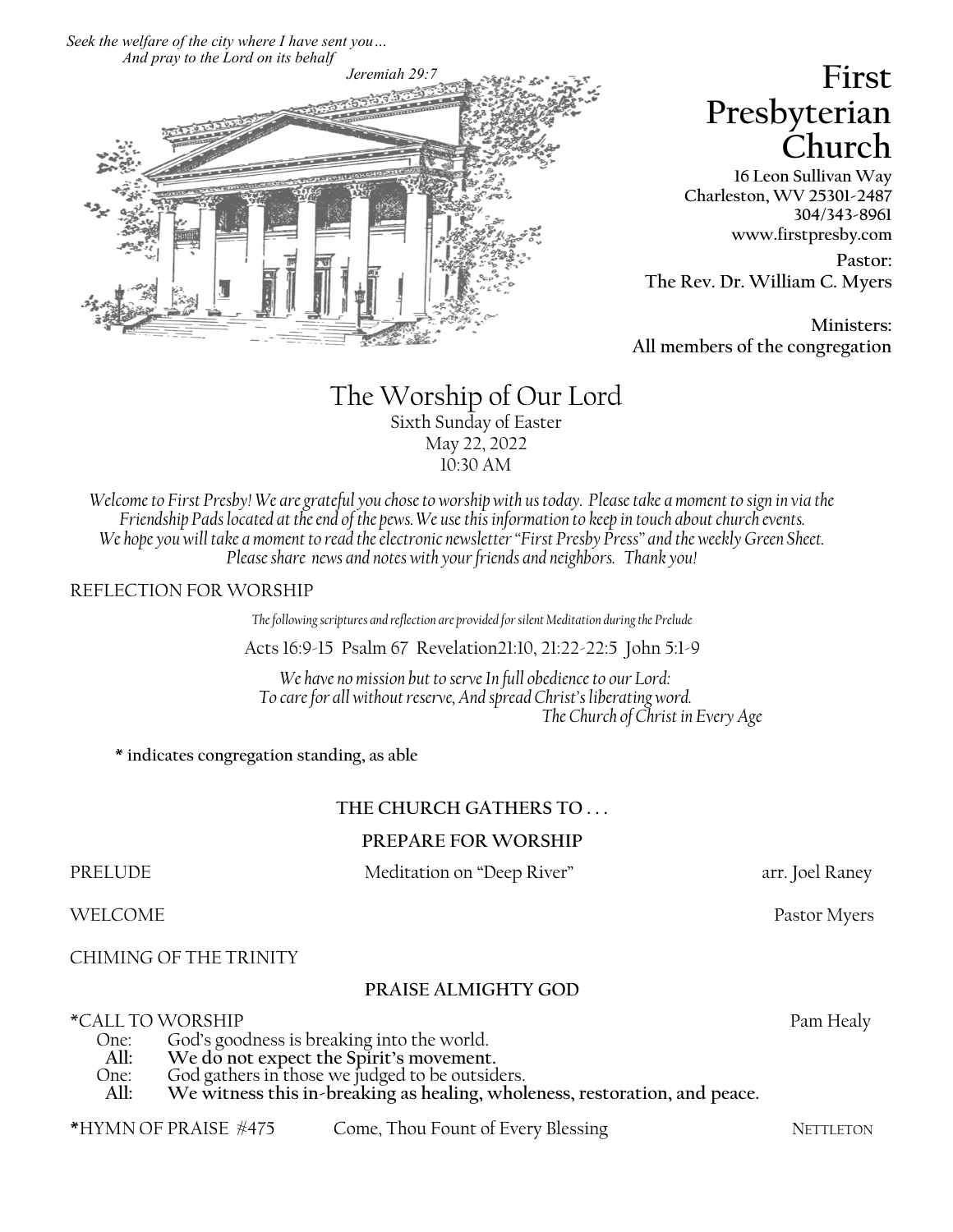*Seek the welfare of the city where I have sent you… And pray to the Lord on its behalf*



# **First Presbyterian Church**

**16 Leon Sullivan Way Charleston, WV 25301-2487 304/343-8961 www.firstpresby.com**

**Pastor: The Rev. Dr. William C. Myers**

**Ministers: All members of the congregation**

# The Worship of Our Lord Sixth Sunday of Easter May 22, 2022 10:30 AM

*Welcome to First Presby! We are grateful you chose to worship with us today. Please take a moment to sign in via the Friendship Pads located at the end of the pews. We use this information to keep in touch about church events. We hope you will take a moment to read the electronic newsletter "First Presby Press" and the weekly Green Sheet. Please share news and notes with your friends and neighbors. Thank you!*

### REFLECTION FOR WORSHIP

*The following scriptures and reflection are provided for silent Meditation during the Prelude*

Acts 16:9-15 Psalm 67 Revelation21:10, 21:22-22:5 John 5:1-9

*We have no mission but to serve In full obedience to our Lord: To care for all without reserve, And spread Christ's liberating word. The Church of Christ in Every Age*

**\* indicates congregation standing, as able**

## **THE CHURCH GATHERS TO . . .**

#### **PREPARE FOR WORSHIP**

PRELUDE Meditation on "Deep River" arr. Joel Raney

WELCOME Pastor Myers

CHIMING OF THE TRINITY

### **PRAISE ALMIGHTY GOD**

\*CALL TO WORSHIP<br>Cod's goodness is breaking into the world One: God's goodness is breaking into the world.<br>All: We do not expect the Spirit's movement

- All: We do not expect the Spirit's movement.<br>One: God gathers in those we judged to be outsid
- One: God gathers in those we judged to be outsiders.
- **All: We witness this in-breaking as healing, wholeness, restoration, and peace.**
- \*HYMN OF PRAISE #475 Come, Thou Fount of Every Blessing NETTLETON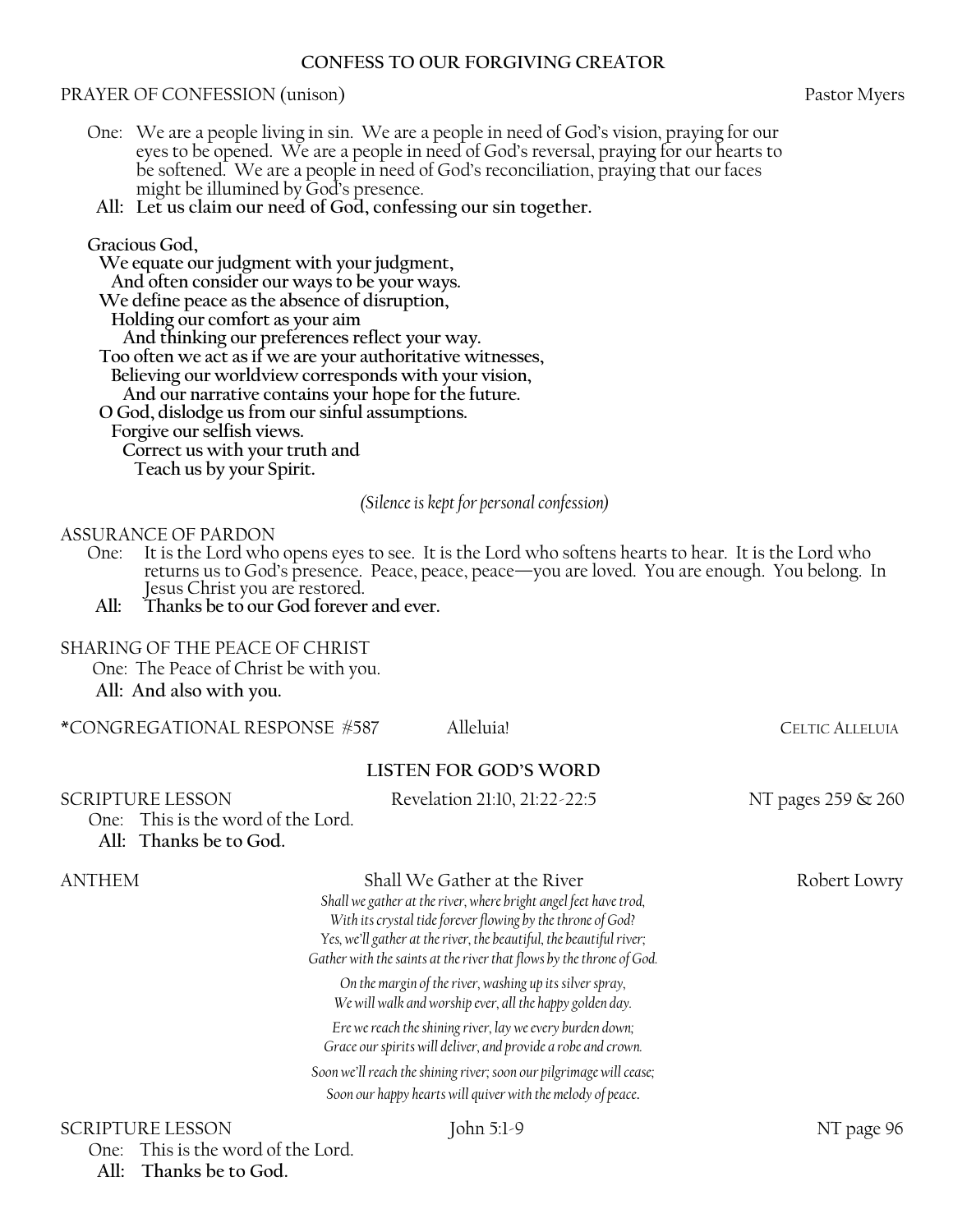#### **CONFESS TO OUR FORGIVING CREATOR**

#### PRAYER OF CONFESSION (unison) PRAYER OF CONFESSION (unison)

- One: We are a people living in sin. We are a people in need of God's vision, praying for our eyes to be opened. We are a people in need of God's reversal, praying for our hearts to be softened. We are a people in need of God's reconciliation, praying that our faces might be illumined by God's presence.
- **All: Let us claim our need of God, confessing our sin together.**

#### **Gracious God,**

 **We equate our judgment with your judgment, And often consider our ways to be your ways. We define peace as the absence of disruption, Holding our comfort as your aim And thinking our preferences reflect your way. Too often we act as if we are your authoritative witnesses, Believing our worldview corresponds with your vision, And our narrative contains your hope for the future. O God, dislodge us from our sinful assumptions.**

 **Forgive our selfish views.**

 **Correct us with your truth and**

 **Teach us by your Spirit.**

#### *(Silence is kept for personal confession)*

#### ASSURANCE OF PARDON

- One: It is the Lord who opens eyes to see. It is the Lord who softens hearts to hear. It is the Lord who returns us to God's presence. Peace, peace, peace—you are loved. You are enough. You belong. In Jesus Christ you are restored.
- **All: Thanks be to our God forever and ever.**

#### SHARING OF THE PEACE OF CHRIST

One: The Peace of Christ be with you. **All: And also with you.**

| <b>SCRIPTURE LESSON</b>                                      |                              | ohn 5:1-9                                                                                                                                                                                                                                                                      | NT page 96             |
|--------------------------------------------------------------|------------------------------|--------------------------------------------------------------------------------------------------------------------------------------------------------------------------------------------------------------------------------------------------------------------------------|------------------------|
|                                                              |                              | Soon we'll reach the shining river; soon our pilgrimage will cease;<br>Soon our happy hearts will quiver with the melody of peace.                                                                                                                                             |                        |
|                                                              |                              | Ere we reach the shining river, lay we every burden down;<br>Grace our spirits will deliver, and provide a robe and crown.                                                                                                                                                     |                        |
|                                                              |                              | On the margin of the river, washing up its silver spray,<br>We will walk and worship ever, all the happy golden day.                                                                                                                                                           |                        |
|                                                              |                              | Shall we gather at the river, where bright angel feet have trod,<br>With its crystal tide forever flowing by the throne of God?<br>Yes, we'll gather at the river, the beautiful, the beautiful river;<br>Gather with the saints at the river that flows by the throne of God. |                        |
| ANTHEM                                                       |                              | Shall We Gather at the River                                                                                                                                                                                                                                                   | Robert Lowry           |
| One: This is the word of the Lord.<br>All: Thanks be to God. |                              |                                                                                                                                                                                                                                                                                |                        |
| <b>SCRIPTURE LESSON</b>                                      | Revelation 21:10, 21:22-22:5 |                                                                                                                                                                                                                                                                                | NT pages 259 & 260     |
|                                                              |                              | <b>LISTEN FOR GOD'S WORD</b>                                                                                                                                                                                                                                                   |                        |
| *CONGREGATIONAL RESPONSE #587                                |                              | Alleluia!                                                                                                                                                                                                                                                                      | <b>CELTIC ALLELUIA</b> |

# One: This is the word of the Lord.

 **All: Thanks be to God.**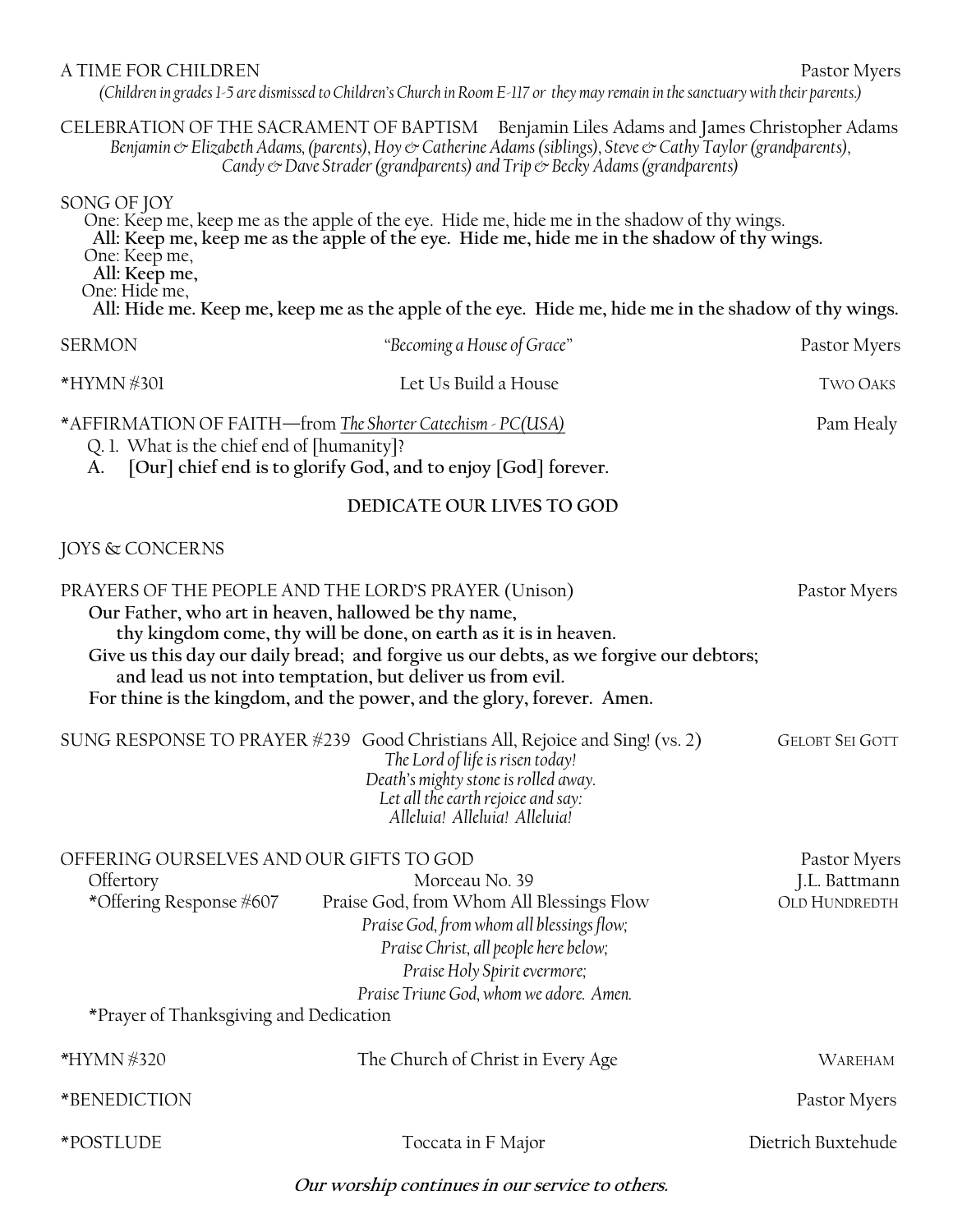#### A TIME FOR CHILDREN Pastor Myers Pastor Myers

*(Children in grades 1-5 are dismissed to Children's Church in Room E-117 or they may remain in the sanctuary with their parents.)*

CELEBRATION OF THE SACRAMENT OF BAPTISM Benjamin Liles Adams and James Christopher Adams *Benjamin & Elizabeth Adams, (parents), Hoy & Catherine Adams (siblings), Steve & Cathy Taylor (grandparents), Candy & Dave Strader (grandparents) and Trip & Becky Adams (grandparents)* 

#### SONG OF JOY

One: Keep me, keep me as the apple of the eye. Hide me, hide me in the shadow of thy wings. **All: Keep me, keep me as the apple of the eye. Hide me, hide me in the shadow of thy wings.** One: Keep me, **All: Keep me,** One: Hide me, **All: Hide me. Keep me, keep me as the apple of the eye. Hide me, hide me in the shadow of thy wings.**

| <b>SERMON</b>                                                                                                                                                                 | "Becoming a House of Grace" | Pastor Myers    |
|-------------------------------------------------------------------------------------------------------------------------------------------------------------------------------|-----------------------------|-----------------|
| *HYMN #301                                                                                                                                                                    | Let Us Build a House        | <b>TWO OAKS</b> |
| *AFFIRMATION OF FAITH-from The Shorter Catechism - PC(USA)<br>Q. 1. What is the chief end of [humanity]?<br>A. [Our] chief end is to glorify God, and to enjoy [God] forever. |                             | Pam Healy       |

### **DEDICATE OUR LIVES TO GOD**

## JOYS & CONCERNS

| PRAYERS OF THE PEOPLE AND THE LORD'S PRAYER (Unison)<br>Our Father, who art in heaven, hallowed be thy name,              | thy kingdom come, thy will be done, on earth as it is in heaven.<br>Give us this day our daily bread; and forgive us our debts, as we forgive our debtors;<br>and lead us not into temptation, but deliver us from evil.<br>For thine is the kingdom, and the power, and the glory, forever. Amen. | Pastor Myers                                          |
|---------------------------------------------------------------------------------------------------------------------------|----------------------------------------------------------------------------------------------------------------------------------------------------------------------------------------------------------------------------------------------------------------------------------------------------|-------------------------------------------------------|
|                                                                                                                           | SUNG RESPONSE TO PRAYER #239 Good Christians All, Rejoice and Sing! (vs. 2)<br>The Lord of life is risen today!<br>Death's mighty stone is rolled away.<br>Let all the earth rejoice and say:<br>Alleluia! Alleluia! Alleluia!                                                                     | <b>GELOBT SEI GOTT</b>                                |
| OFFERING OURSELVES AND OUR GIFTS TO GOD<br>Offertory<br>*Offering Response #607<br>*Prayer of Thanksgiving and Dedication | Morceau No. 39<br>Praise God, from Whom All Blessings Flow<br>Praise God, from whom all blessings flow;<br>Praise Christ, all people here below;<br>Praise Holy Spirit evermore;<br>Praise Triune God, whom we adore. Amen.                                                                        | Pastor Myers<br>J.L. Battmann<br><b>OLD HUNDREDTH</b> |
| *HYMN #320                                                                                                                | The Church of Christ in Every Age                                                                                                                                                                                                                                                                  | WAREHAM                                               |
| *BENEDICTION                                                                                                              |                                                                                                                                                                                                                                                                                                    | Pastor Myers                                          |
| *POSTLUDE                                                                                                                 | Toccata in F Major                                                                                                                                                                                                                                                                                 | Dietrich Buxtehude                                    |

**Our worship continues in our service to others.**